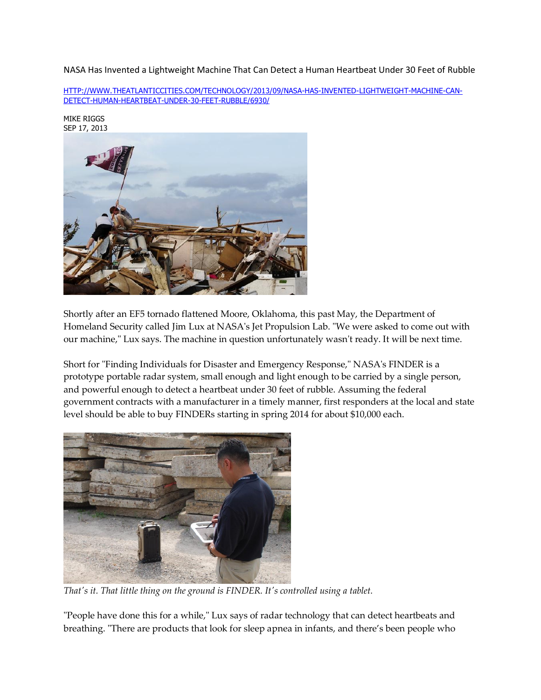NASA Has Invented a Lightweight Machine That Can Detect a Human Heartbeat Under 30 Feet of Rubble

[HTTP://WWW.THEATLANTICCITIES.COM/TECHNOLOGY/2013/09/NASA-HAS-INVENTED-LIGHTWEIGHT-MACHINE-CAN-](http://www.theatlanticcities.com/technology/2013/09/nasa-has-invented-lightweight-machine-can-detect-human-heartbeat-under-30-feet-rubble/6930/)[DETECT-HUMAN-HEARTBEAT-UNDER-30-FEET-RUBBLE/6930/](http://www.theatlanticcities.com/technology/2013/09/nasa-has-invented-lightweight-machine-can-detect-human-heartbeat-under-30-feet-rubble/6930/)



[MIKE RIGGS](http://www.theatlanticcities.com/authors/mike-riggs/)

Shortly after an EF5 tornado flattened Moore, Oklahoma, this past May, the Department of Homeland Security called Jim Lux at NASA's Jet Propulsion Lab. "We were asked to come out with our machine," Lux says. The machine in question unfortunately wasn't ready. It will be next time.

Short for "Finding Individuals for Disaster and Emergency Response," NASA's FINDER is a prototype portable radar system, small enough and light enough to be carried by a single person, and powerful enough to detect a heartbeat under 30 feet of rubble. Assuming the federal government contracts with a manufacturer in a timely manner, first responders at the local and state level should be able to buy FINDERs starting in spring 2014 for about \$10,000 each.



*That's it. That little thing on the ground is FINDER. It's controlled using a tablet.* 

"People have done this for a while," Lux says of radar technology that can detect heartbeats and breathing. "There are products that look for sleep apnea in infants, and there's been people who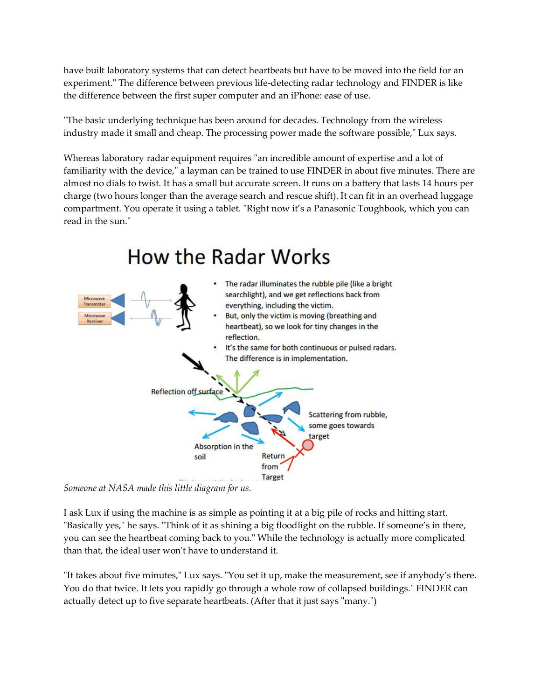have built laboratory systems that can detect heartbeats but have to be moved into the field for an experiment." The difference between previous life-detecting radar technology and FINDER is like the difference between the first super computer and an iPhone: ease of use.

"The basic underlying technique has been around for decades. Technology from the wireless industry made it small and cheap. The processing power made the software possible," Lux says.

Whereas laboratory radar equipment requires "an incredible amount of expertise and a lot of familiarity with the device," a layman can be trained to use FINDER in about five minutes. There are almost no dials to twist. It has a small but accurate screen. It runs on a battery that lasts 14 hours per charge (two hours longer than the average search and rescue shift). It can fit in an overhead luggage compartment. You operate it using a tablet. "Right now it's a Panasonic Toughbook, which you can read in the sun."



*Someone at NASA made this little diagram for us.* 

I ask Lux if using the machine is as simple as pointing it at a big pile of rocks and hitting start. "Basically yes," he says. "Think of it as shining a big floodlight on the rubble. If someone's in there, you can see the heartbeat coming back to you." While the technology is actually more complicated than that, the ideal user won't have to understand it.

"It takes about five minutes," Lux says. "You set it up, make the measurement, see if anybody's there. You do that twice. It lets you rapidly go through a whole row of collapsed buildings." FINDER can actually detect up to five separate heartbeats. (After that it just says "many.")